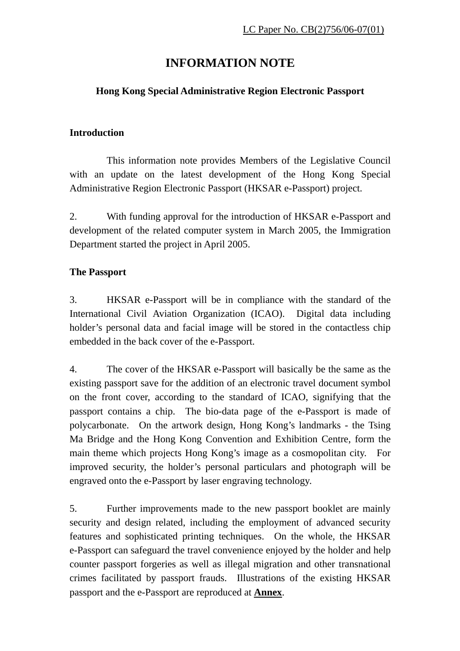## **INFORMATION NOTE**

#### **Hong Kong Special Administrative Region Electronic Passport**

#### **Introduction**

 This information note provides Members of the Legislative Council with an update on the latest development of the Hong Kong Special Administrative Region Electronic Passport (HKSAR e-Passport) project.

2. With funding approval for the introduction of HKSAR e-Passport and development of the related computer system in March 2005, the Immigration Department started the project in April 2005.

#### **The Passport**

3. HKSAR e-Passport will be in compliance with the standard of the International Civil Aviation Organization (ICAO). Digital data including holder's personal data and facial image will be stored in the contactless chip embedded in the back cover of the e-Passport.

4. The cover of the HKSAR e-Passport will basically be the same as the existing passport save for the addition of an electronic travel document symbol on the front cover, according to the standard of ICAO, signifying that the passport contains a chip. The bio-data page of the e-Passport is made of polycarbonate. On the artwork design, Hong Kong's landmarks - the Tsing Ma Bridge and the Hong Kong Convention and Exhibition Centre, form the main theme which projects Hong Kong's image as a cosmopolitan city. For improved security, the holder's personal particulars and photograph will be engraved onto the e-Passport by laser engraving technology.

5. Further improvements made to the new passport booklet are mainly security and design related, including the employment of advanced security features and sophisticated printing techniques. On the whole, the HKSAR e-Passport can safeguard the travel convenience enjoyed by the holder and help counter passport forgeries as well as illegal migration and other transnational crimes facilitated by passport frauds. Illustrations of the existing HKSAR passport and the e-Passport are reproduced at **Annex**.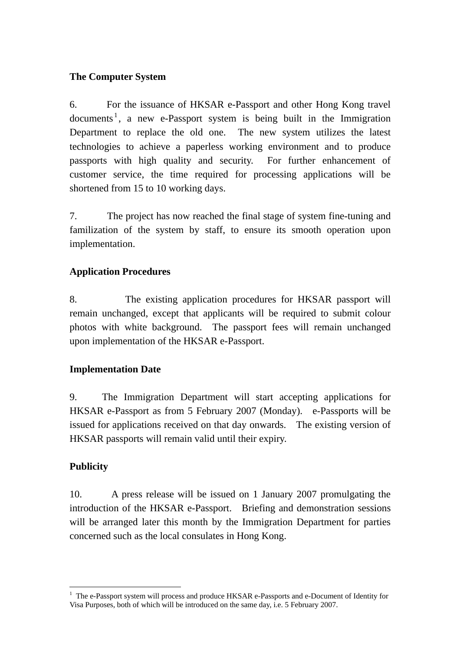## **The Computer System**

6. For the issuance of HKSAR e-Passport and other Hong Kong travel documents<sup>1</sup>, a new e-Passport system is being built in the Immigration Department to replace the old one. The new system utilizes the latest technologies to achieve a paperless working environment and to produce passports with high quality and security. For further enhancement of customer service, the time required for processing applications will be shortened from 15 to 10 working days.

7. The project has now reached the final stage of system fine-tuning and familization of the system by staff, to ensure its smooth operation upon implementation.

## **Application Procedures**

8. The existing application procedures for HKSAR passport will remain unchanged, except that applicants will be required to submit colour photos with white background. The passport fees will remain unchanged upon implementation of the HKSAR e-Passport.

## **Implementation Date**

9. The Immigration Department will start accepting applications for HKSAR e-Passport as from 5 February 2007 (Monday). e-Passports will be issued for applications received on that day onwards. The existing version of HKSAR passports will remain valid until their expiry.

## **Publicity**

 $\overline{a}$ 

10. A press release will be issued on 1 January 2007 promulgating the introduction of the HKSAR e-Passport. Briefing and demonstration sessions will be arranged later this month by the Immigration Department for parties concerned such as the local consulates in Hong Kong.

<sup>&</sup>lt;sup>1</sup> The e-Passport system will process and produce HKSAR e-Passports and e-Document of Identity for Visa Purposes, both of which will be introduced on the same day, i.e. 5 February 2007.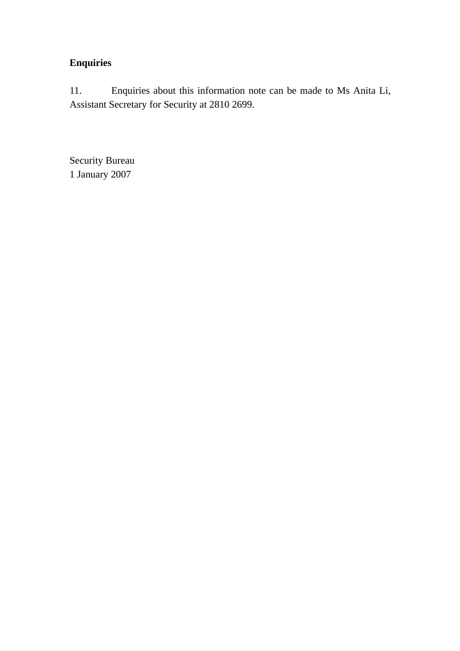## **Enquiries**

11. Enquiries about this information note can be made to Ms Anita Li, Assistant Secretary for Security at 2810 2699.

Security Bureau 1 January 2007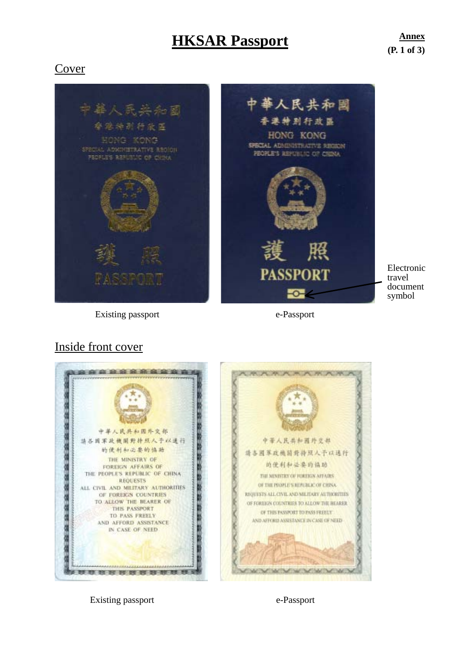# **HKSAR Passport Annex**

**(P. 1 of 3)**

## Cover





Electronic travel document symbol

Existing passport e-Passport

## Inside front cover



Existing passport e-Passport e-Passport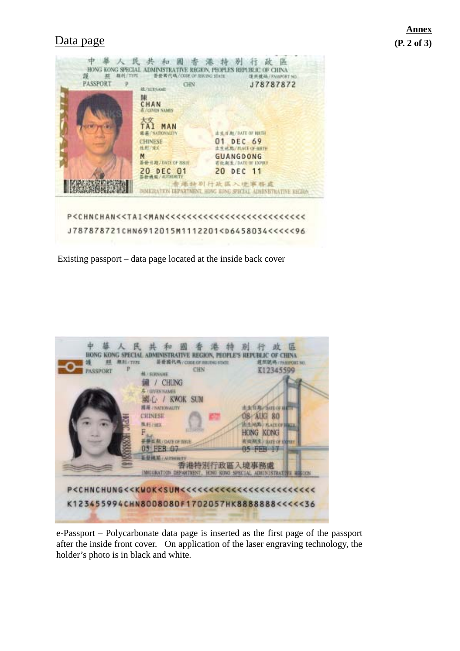## **Data page (P. 2 of 3)**

| 諌<br>CHAN                |                                                     |
|--------------------------|-----------------------------------------------------|
| <b>NAMES</b>             |                                                     |
|                          |                                                     |
| NATIONALITY              | 土 电 H JU / DATE OF HHTH                             |
| <b>CHINESE</b>           | 01 DEC 69                                           |
| 他那/''球火<br>M             | <b>ACE OF BEFTH</b><br><b>GUANGDONG</b>             |
| 基亚里斯/BASE OF 881E        | <b>At N. / DATE DE EXPIRT</b>                       |
| 20 DEC 01<br>医骨髓 输入机控制相对 | 20 DEC 11                                           |
|                          | 告举持别行政医入境事務成                                        |
|                          | LEPARTMENT, HONG KUNG SPRIJAL ADMINISTRATIVE KNGRIN |

Existing passport – data page located at the inside back cover



e-Passport – Polycarbonate data page is inserted as the first page of the passport after the inside front cover. On application of the laser engraving technology, the holder's photo is in black and white.

# **Annex**